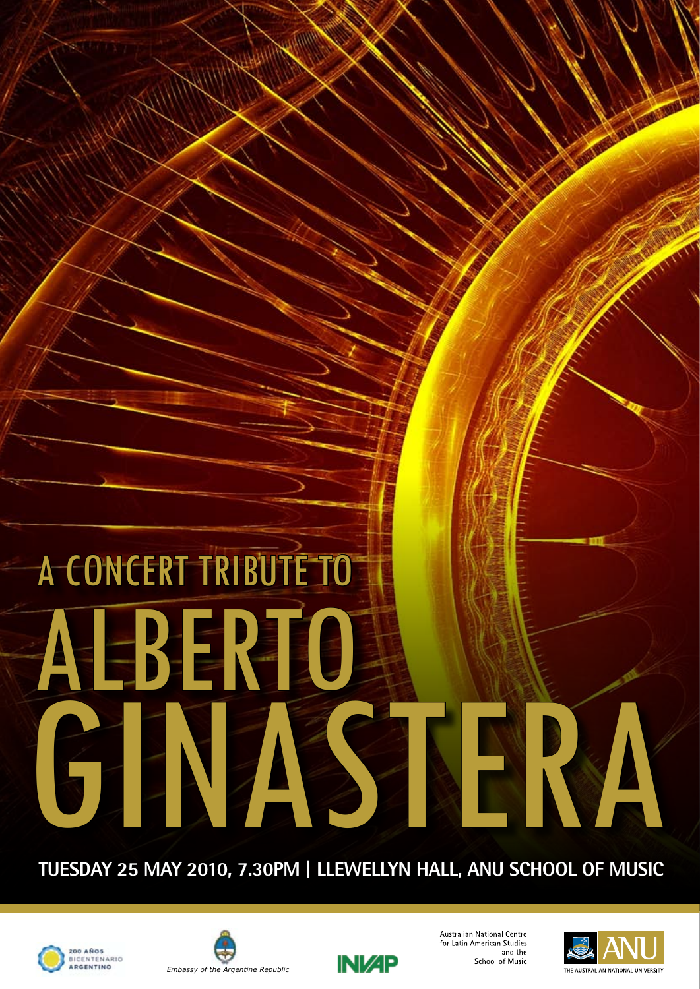# A CONCERT TRIBUTE TO ABBRICH GINASTERA

#### **TUESDAY 25 MAY 2010, 7.30PM | LLEWELLYN HALL, ANU SCHOOL OF MUSIC**







Australian National Centre for Latin American Studies and the School of Music

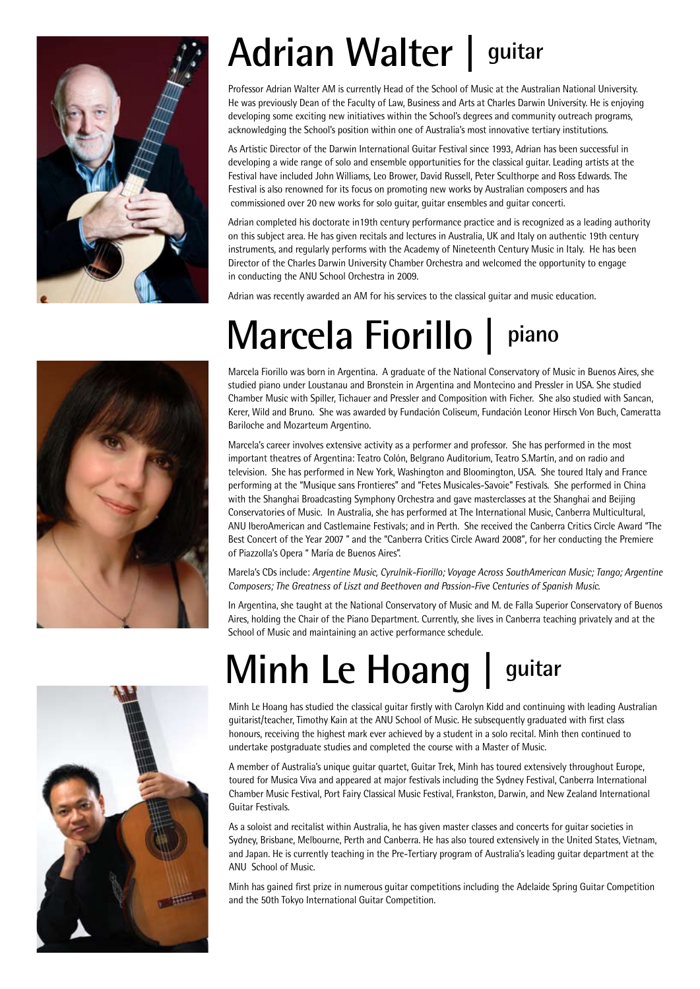

## **Adrian Walter | guitar**

Professor Adrian Walter AM is currently Head of the School of Music at the Australian National University. He was previously Dean of the Faculty of Law, Business and Arts at Charles Darwin University. He is enjoying developing some exciting new initiatives within the School's degrees and community outreach programs, acknowledging the School's position within one of Australia's most innovative tertiary institutions.

As Artistic Director of the Darwin International Guitar Festival since 1993, Adrian has been successful in developing a wide range of solo and ensemble opportunities for the classical guitar. Leading artists at the Festival have included John Williams, Leo Brower, David Russell, Peter Sculthorpe and Ross Edwards. The Festival is also renowned for its focus on promoting new works by Australian composers and has commissioned over 20 new works for solo guitar, guitar ensembles and guitar concerti.

Adrian completed his doctorate in19th century performance practice and is recognized as a leading authority on this subject area. He has given recitals and lectures in Australia, UK and Italy on authentic 19th century instruments, and regularly performs with the Academy of Nineteenth Century Music in Italy. He has been Director of the Charles Darwin University Chamber Orchestra and welcomed the opportunity to engage in conducting the ANU School Orchestra in 2009.

Adrian was recently awarded an AM for his services to the classical guitar and music education.

## **Marcela Fiorillo | piano**

Marcela Fiorillo was born in Argentina. A graduate of the National Conservatory of Music in Buenos Aires, she studied piano under Loustanau and Bronstein in Argentina and Montecino and Pressler in USA. She studied Chamber Music with Spiller, Tichauer and Pressler and Composition with Ficher. She also studied with Sancan, Kerer, Wild and Bruno. She was awarded by Fundación Coliseum, Fundación Leonor Hirsch Von Buch, Cameratta Bariloche and Mozarteum Argentino.

Marcela's career involves extensive activity as a performer and professor. She has performed in the most important theatres of Argentina: Teatro Colón, Belgrano Auditorium, Teatro S.Martín, and on radio and television. She has performed in New York, Washington and Bloomington, USA. She toured Italy and France performing at the "Musique sans Frontieres" and "Fetes Musicales-Savoie" Festivals. She performed in China with the Shanghai Broadcasting Symphony Orchestra and gave masterclasses at the Shanghai and Beijing Conservatories of Music. In Australia, she has performed at The International Music, Canberra Multicultural, ANU IberoAmerican and Castlemaine Festivals; and in Perth. She received the Canberra Critics Circle Award "The Best Concert of the Year 2007 " and the "Canberra Critics Circle Award 2008", for her conducting the Premiere of Piazzolla's Opera " María de Buenos Aires".

Marela's CDs include: *Argentine Music, Cyrulnik-Fiorillo; Voyage Across SouthAmerican Music; Tango; Argentine Composers; The Greatness of Liszt and Beethoven and Passion-Five Centuries of Spanish Music*.

In Argentina, she taught at the National Conservatory of Music and M. de Falla Superior Conservatory of Buenos Aires, holding the Chair of the Piano Department. Currently, she lives in Canberra teaching privately and at the School of Music and maintaining an active performance schedule.

## **Minh Le Hoang | guitar**

Minh Le Hoang has studied the classical guitar firstly with Carolyn Kidd and continuing with leading Australian guitarist/teacher, Timothy Kain at the ANU School of Music. He subsequently graduated with first class honours, receiving the highest mark ever achieved by a student in a solo recital. Minh then continued to undertake postgraduate studies and completed the course with a Master of Music.

A member of Australia's unique guitar quartet, Guitar Trek, Minh has toured extensively throughout Europe, toured for Musica Viva and appeared at major festivals including the Sydney Festival, Canberra International Chamber Music Festival, Port Fairy Classical Music Festival, Frankston, Darwin, and New Zealand International Guitar Festivals.

As a soloist and recitalist within Australia, he has given master classes and concerts for guitar societies in Sydney, Brisbane, Melbourne, Perth and Canberra. He has also toured extensively in the United States, Vietnam, and Japan. He is currently teaching in the Pre-Tertiary program of Australia's leading guitar department at the ANU School of Music.

Minh has gained first prize in numerous guitar competitions including the Adelaide Spring Guitar Competition and the 50th Tokyo International Guitar Competition.

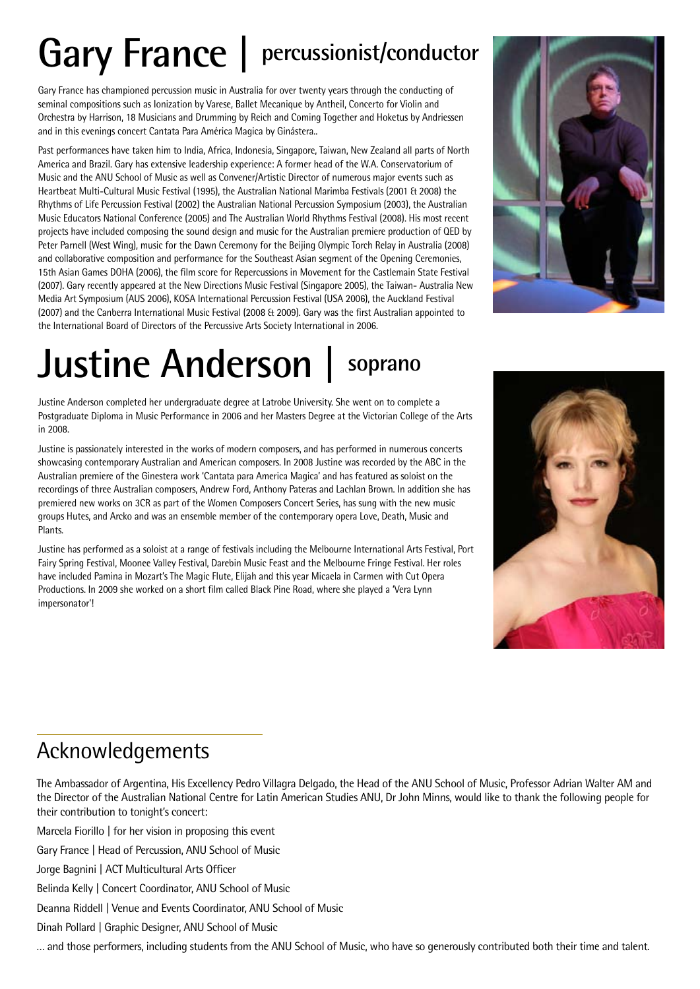## **Gary France | percussionist/conductor**

Gary France has championed percussion music in Australia for over twenty years through the conducting of seminal compositions such as Ionization by Varese, Ballet Mecanique by Antheil, Concerto for Violin and Orchestra by Harrison, 18 Musicians and Drumming by Reich and Coming Together and Hoketus by Andriessen and in this evenings concert Cantata Para América Magica by Ginástera..

Past performances have taken him to India, Africa, Indonesia, Singapore, Taiwan, New Zealand all parts of North America and Brazil. Gary has extensive leadership experience: A former head of the W.A. Conservatorium of Music and the ANU School of Music as well as Convener/Artistic Director of numerous major events such as Heartbeat Multi-Cultural Music Festival (1995), the Australian National Marimba Festivals (2001 & 2008) the Rhythms of Life Percussion Festival (2002) the Australian National Percussion Symposium (2003), the Australian Music Educators National Conference (2005) and The Australian World Rhythms Festival (2008). His most recent projects have included composing the sound design and music for the Australian premiere production of QED by Peter Parnell (West Wing), music for the Dawn Ceremony for the Beijing Olympic Torch Relay in Australia (2008) and collaborative composition and performance for the Southeast Asian segment of the Opening Ceremonies, 15th Asian Games DOHA (2006), the film score for Repercussions in Movement for the Castlemain State Festival (2007). Gary recently appeared at the New Directions Music Festival (Singapore 2005), the Taiwan- Australia New Media Art Symposium (AUS 2006), KOSA International Percussion Festival (USA 2006), the Auckland Festival (2007) and the Canberra International Music Festival (2008 & 2009). Gary was the first Australian appointed to the International Board of Directors of the Percussive Arts Society International in 2006.



## **Justine Anderson | soprano**

Justine Anderson completed her undergraduate degree at Latrobe University. She went on to complete a Postgraduate Diploma in Music Performance in 2006 and her Masters Degree at the Victorian College of the Arts in 2008.

Justine is passionately interested in the works of modern composers, and has performed in numerous concerts showcasing contemporary Australian and American composers. In 2008 Justine was recorded by the ABC in the Australian premiere of the Ginestera work 'Cantata para America Magica' and has featured as soloist on the recordings of three Australian composers, Andrew Ford, Anthony Pateras and Lachlan Brown. In addition she has premiered new works on 3CR as part of the Women Composers Concert Series, has sung with the new music groups Hutes, and Arcko and was an ensemble member of the contemporary opera Love, Death, Music and Plants.

Justine has performed as a soloist at a range of festivals including the Melbourne International Arts Festival, Port Fairy Spring Festival, Moonee Valley Festival, Darebin Music Feast and the Melbourne Fringe Festival. Her roles have included Pamina in Mozart's The Magic Flute, Elijah and this year Micaela in Carmen with Cut Opera Productions. In 2009 she worked on a short film called Black Pine Road, where she played a 'Vera Lynn impersonator'!

#### Acknowledgements

The Ambassador of Argentina, His Excellency Pedro Villagra Delgado, the Head of the ANU School of Music, Professor Adrian Walter AM and the Director of the Australian National Centre for Latin American Studies ANU, Dr John Minns, would like to thank the following people for their contribution to tonight's concert:

Marcela Fiorillo | for her vision in proposing this event

Gary France | Head of Percussion, ANU School of Music

Jorge Bagnini | ACT Multicultural Arts Officer

Belinda Kelly | Concert Coordinator, ANU School of Music

Deanna Riddell | Venue and Events Coordinator, ANU School of Music

Dinah Pollard | Graphic Designer, ANU School of Music

… and those performers, including students from the ANU School of Music, who have so generously contributed both their time and talent.

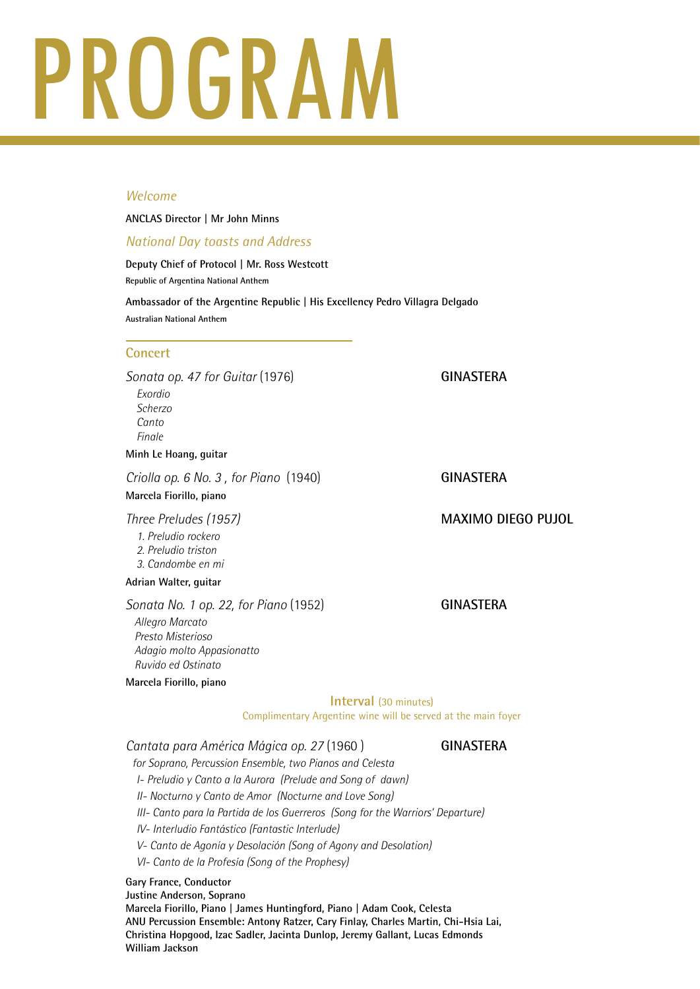## PROGRAM

#### *Welcome*

#### **ANCLAS Director | Mr John Minns**

#### *National Day toasts and Address*

**Deputy Chief of Protocol | Mr. Ross Westcott Republic of Argentina National Anthem**

**Ambassador of the Argentine Republic | His Excellency Pedro Villagra Delgado Australian National Anthem**

#### **Concert**

Sonata op. 47 for Guitar (1976) **GINASTERA** *Exordio Scherzo Canto Finale*

#### **Minh Le Hoang, guitar**

*Criolla op. 6 No. 3, for Piano* (1940) **GINASTERA** 

#### **Marcela Fiorillo, piano**

*1. Preludio rockero 2. Preludio triston 3. Candombe en mi*

#### **Adrian Walter, guitar**

**Sonata No. 1 op. 22, for Piano** (1952) **GINASTERA** *Allegro Marcato Presto Misterioso Adagio molto Appasionatto Ruvido ed Ostinato* **Marcela Fiorillo, piano**

#### *Three Preludes (1957)* **MAXIMO DIEGO PUJOL**

#### **Interval** (30 minutes)

Complimentary Argentine wine will be served at the main foyer

#### *Cantata para América Mágica op. 27* (1960 ) **GINASTERA**

*for Soprano, Percussion Ensemble, two Pianos and Celesta* 

*I- Preludio y Canto a la Aurora (Prelude and Song of dawn)*

*II- Nocturno y Canto de Amor (Nocturne and Love Song)*

*III- Canto para la Partida de los Guerreros (Song for the Warriors' Departure)*

*IV- Interludio Fantástico (Fantastic Interlude)*

- *V- Canto de Agonía y Desolación (Song of Agony and Desolation)*
- *VI- Canto de la Profesía (Song of the Prophesy)*

#### **Gary France, Conductor**

**Justine Anderson, Soprano**

**Marcela Fiorillo, Piano | James Huntingford, Piano | Adam Cook, Celesta ANU Percussion Ensemble: Antony Ratzer, Cary Finlay, Charles Martin, Chi-Hsia Lai, Christina Hopgood, Izac Sadler, Jacinta Dunlop, Jeremy Gallant, Lucas Edmonds William Jackson**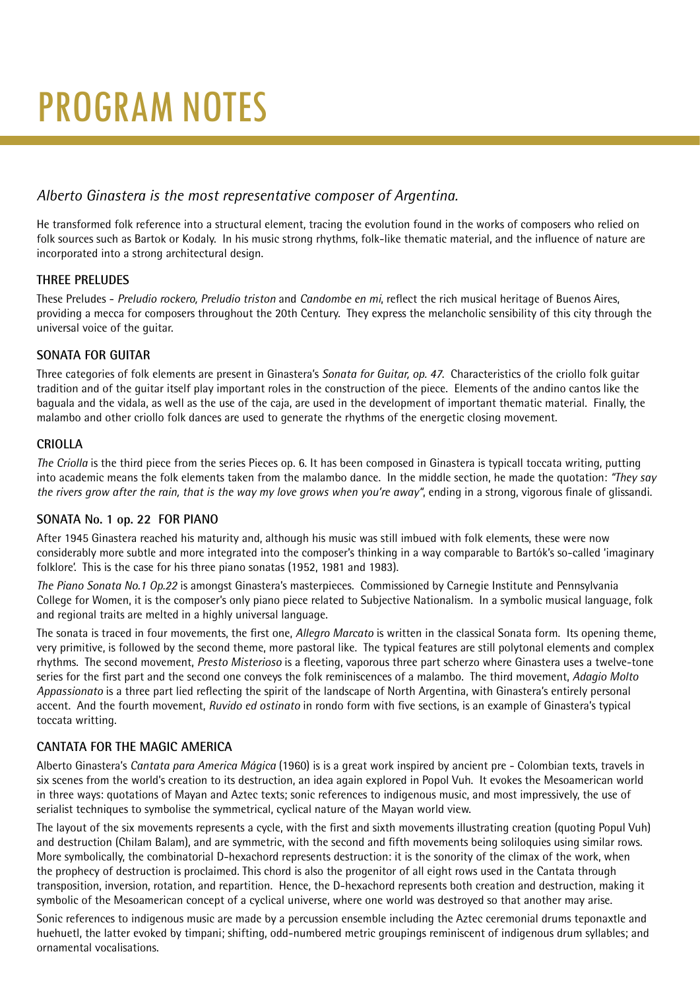## PROGRAM NOTES

#### *Alberto Ginastera is the most representative composer of Argentina.*

He transformed folk reference into a structural element, tracing the evolution found in the works of composers who relied on folk sources such as Bartok or Kodaly. In his music strong rhythms, folk-like thematic material, and the influence of nature are incorporated into a strong architectural design.

#### **THREE PRELUDES**

These Preludes - *Preludio rockero, Preludio triston* and *Candombe en mi*, reflect the rich musical heritage of Buenos Aires, providing a mecca for composers throughout the 20th Century. They express the melancholic sensibility of this city through the universal voice of the guitar.

#### **SONATA FOR GUITAR**

Three categories of folk elements are present in Ginastera's *Sonata for Guitar, op. 47*. Characteristics of the criollo folk guitar tradition and of the guitar itself play important roles in the construction of the piece. Elements of the andino cantos like the baguala and the vidala, as well as the use of the caja, are used in the development of important thematic material. Finally, the malambo and other criollo folk dances are used to generate the rhythms of the energetic closing movement.

#### **CRIOLLA**

*The Criolla* is the third piece from the series Pieces op. 6. It has been composed in Ginastera is typicall toccata writing, putting into academic means the folk elements taken from the malambo dance. In the middle section, he made the quotation: *"They say the rivers grow after the rain, that is the way my love grows when you're away"*, ending in a strong, vigorous finale of glissandi.

#### **SONATA No. 1 op. 22 FOR PIANO**

After 1945 Ginastera reached his maturity and, although his music was still imbued with folk elements, these were now considerably more subtle and more integrated into the composer's thinking in a way comparable to Bartók's so-called 'imaginary folklore'. This is the case for his three piano sonatas (1952, 1981 and 1983).

*The Piano Sonata No.1 Op.22* is amongst Ginastera's masterpieces. Commissioned by Carnegie Institute and Pennsylvania College for Women, it is the composer's only piano piece related to Subjective Nationalism. In a symbolic musical language, folk and regional traits are melted in a highly universal language.

The sonata is traced in four movements, the first one, *Allegro Marcato* is written in the classical Sonata form. Its opening theme, very primitive, is followed by the second theme, more pastoral like. The typical features are still polytonal elements and complex rhythms. The second movement, *Presto Misterioso* is a fleeting, vaporous three part scherzo where Ginastera uses a twelve-tone series for the first part and the second one conveys the folk reminiscences of a malambo. The third movement, *Adagio Molto Appassionato* is a three part lied reflecting the spirit of the landscape of North Argentina, with Ginastera's entirely personal accent. And the fourth movement, *Ruvido ed ostinato* in rondo form with five sections, is an example of Ginastera's typical toccata writting.

#### **CANTATA FOR THE MAGIC AMERICA**

Alberto Ginastera's *Cantata para America Mágica* (1960) is is a great work inspired by ancient pre - Colombian texts, travels in six scenes from the world's creation to its destruction, an idea again explored in Popol Vuh. It evokes the Mesoamerican world in three ways: quotations of Mayan and Aztec texts; sonic references to indigenous music, and most impressively, the use of serialist techniques to symbolise the symmetrical, cyclical nature of the Mayan world view.

The layout of the six movements represents a cycle, with the first and sixth movements illustrating creation (quoting Popul Vuh) and destruction (Chilam Balam), and are symmetric, with the second and fifth movements being soliloquies using similar rows. More symbolically, the combinatorial D-hexachord represents destruction: it is the sonority of the climax of the work, when the prophecy of destruction is proclaimed. This chord is also the progenitor of all eight rows used in the Cantata through transposition, inversion, rotation, and repartition. Hence, the D-hexachord represents both creation and destruction, making it symbolic of the Mesoamerican concept of a cyclical universe, where one world was destroyed so that another may arise.

Sonic references to indigenous music are made by a percussion ensemble including the Aztec ceremonial drums teponaxtle and huehuetl, the latter evoked by timpani; shifting, odd-numbered metric groupings reminiscent of indigenous drum syllables; and ornamental vocalisations.